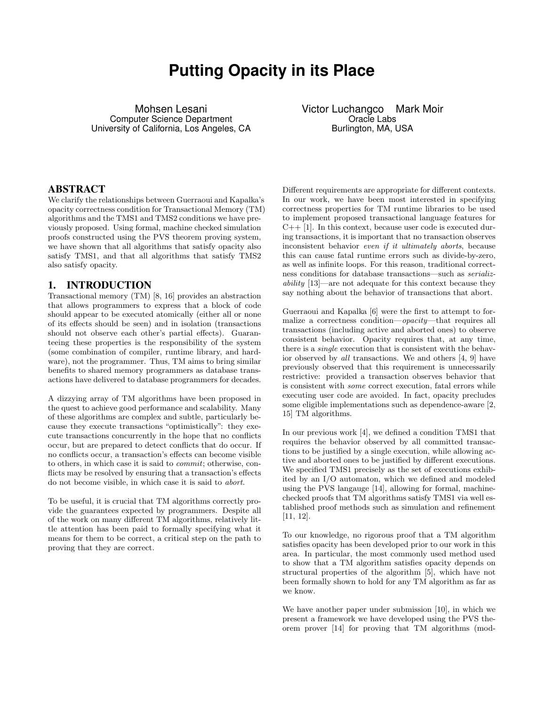# **Putting Opacity in its Place**

Mohsen Lesani Computer Science Department University of California, Los Angeles, CA Victor Luchangco Mark Moir Oracle Labs Burlington, MA, USA

### ABSTRACT

We clarify the relationships between Guerraoui and Kapalka's opacity correctness condition for Transactional Memory (TM) algorithms and the TMS1 and TMS2 conditions we have previously proposed. Using formal, machine checked simulation proofs constructed using the PVS theorem proving system, we have shown that all algorithms that satisfy opacity also satisfy TMS1, and that all algorithms that satisfy TMS2 also satisfy opacity.

## 1. INTRODUCTION

Transactional memory (TM) [8, 16] provides an abstraction that allows programmers to express that a block of code should appear to be executed atomically (either all or none of its effects should be seen) and in isolation (transactions should not observe each other's partial effects). Guaranteeing these properties is the responsibility of the system (some combination of compiler, runtime library, and hardware), not the programmer. Thus, TM aims to bring similar benefits to shared memory programmers as database transactions have delivered to database programmers for decades.

A dizzying array of TM algorithms have been proposed in the quest to achieve good performance and scalability. Many of these algorithms are complex and subtle, particularly because they execute transactions "optimistically": they execute transactions concurrently in the hope that no conflicts occur, but are prepared to detect conflicts that do occur. If no conflicts occur, a transaction's effects can become visible to others, in which case it is said to commit; otherwise, conflicts may be resolved by ensuring that a transaction's effects do not become visible, in which case it is said to abort.

To be useful, it is crucial that TM algorithms correctly provide the guarantees expected by programmers. Despite all of the work on many different TM algorithms, relatively little attention has been paid to formally specifying what it means for them to be correct, a critical step on the path to proving that they are correct.

Different requirements are appropriate for different contexts. In our work, we have been most interested in specifying correctness properties for TM runtime libraries to be used to implement proposed transactional language features for  $C_{++}$  [1]. In this context, because user code is executed during transactions, it is important that no transaction observes inconsistent behavior even if it ultimately aborts, because this can cause fatal runtime errors such as divide-by-zero, as well as infinite loops. For this reason, traditional correctness conditions for database transactions—such as serializability [13]—are not adequate for this context because they say nothing about the behavior of transactions that abort.

Guerraoui and Kapalka [6] were the first to attempt to formalize a correctness condition—opacity—that requires all transactions (including active and aborted ones) to observe consistent behavior. Opacity requires that, at any time, there is a single execution that is consistent with the behavior observed by all transactions. We and others [4, 9] have previously observed that this requirement is unnecessarily restrictive: provided a transaction observes behavior that is consistent with some correct execution, fatal errors while executing user code are avoided. In fact, opacity precludes some eligible implementations such as dependence-aware [2, 15] TM algorithms.

In our previous work [4], we defined a condition TMS1 that requires the behavior observed by all committed transactions to be justified by a single execution, while allowing active and aborted ones to be justified by different executions. We specified TMS1 precisely as the set of executions exhibited by an I/O automaton, which we defined and modeled using the PVS langauge [14], allowing for formal, machinechecked proofs that TM algorithms satisfy TMS1 via well established proof methods such as simulation and refinement [11, 12].

To our knowledge, no rigorous proof that a TM algorithm satisfies opacity has been developed prior to our work in this area. In particular, the most commonly used method used to show that a TM algorithm satisfies opacity depends on structural properties of the algorithm [5], which have not been formally shown to hold for any TM algorithm as far as we know.

We have another paper under submission [10], in which we present a framework we have developed using the PVS theorem prover [14] for proving that TM algorithms (mod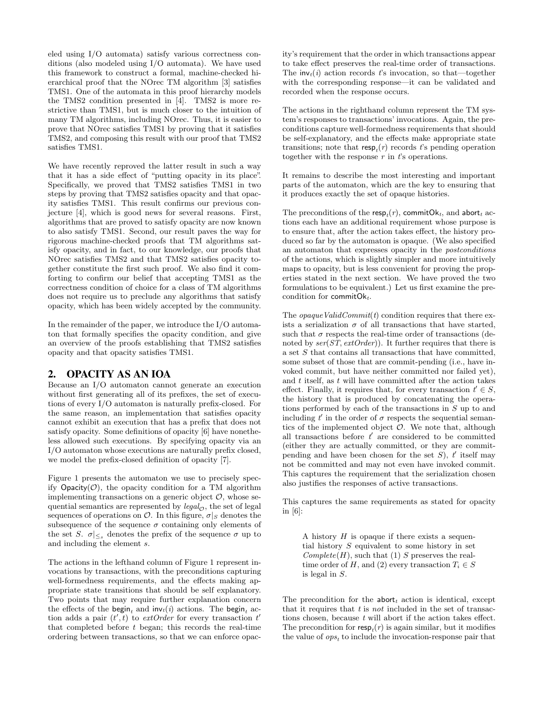eled using I/O automata) satisfy various correctness conditions (also modeled using I/O automata). We have used this framework to construct a formal, machine-checked hierarchical proof that the NOrec TM algorithm [3] satisfies TMS1. One of the automata in this proof hierarchy models the TMS2 condition presented in [4]. TMS2 is more restrictive than TMS1, but is much closer to the intuition of many TM algorithms, including NOrec. Thus, it is easier to prove that NOrec satisfies TMS1 by proving that it satisfies TMS2, and composing this result with our proof that TMS2 satisfies TMS1.

We have recently reproved the latter result in such a way that it has a side effect of "putting opacity in its place". Specifically, we proved that TMS2 satisfies TMS1 in two steps by proving that TMS2 satisfies opacity and that opacity satisfies TMS1. This result confirms our previous conjecture [4], which is good news for several reasons. First, algorithms that are proved to satisfy opacity are now known to also satisfy TMS1. Second, our result paves the way for rigorous machine-checked proofs that TM algorithms satisfy opacity, and in fact, to our knowledge, our proofs that NOrec satisfies TMS2 and that TMS2 satisfies opacity together constitute the first such proof. We also find it comforting to confirm our belief that accepting TMS1 as the correctness condition of choice for a class of TM algorithms does not require us to preclude any algorithms that satisfy opacity, which has been widely accepted by the community.

In the remainder of the paper, we introduce the I/O automaton that formally specifies the opacity condition, and give an overview of the proofs establishing that TMS2 satisfies opacity and that opacity satisfies TMS1.

## 2. OPACITY AS AN IOA

Because an I/O automaton cannot generate an execution without first generating all of its prefixes, the set of executions of every I/O automaton is naturally prefix-closed. For the same reason, an implementation that satisfies opacity cannot exhibit an execution that has a prefix that does not satisfy opacity. Some definitions of opacity [6] have nonetheless allowed such executions. By specifying opacity via an I/O automaton whose executions are naturally prefix closed, we model the prefix-closed definition of opacity [7].

Figure 1 presents the automaton we use to precisely specify  $Opacity(\mathcal{O})$ , the opacity condition for a TM algorithm implementing transactions on a generic object  $\mathcal{O}$ , whose sequential semantics are represented by  $\text{legal}_{\mathcal{O}}$ , the set of legal sequences of operations on  $\mathcal{O}$ . In this figure,  $\sigma|_S$  denotes the subsequence of the sequence  $\sigma$  containing only elements of the set S.  $\sigma \mid \leq s$  denotes the prefix of the sequence  $\sigma$  up to and including the element s.

The actions in the lefthand column of Figure 1 represent invocations by transactions, with the preconditions capturing well-formedness requirements, and the effects making appropriate state transitions that should be self explanatory. Two points that may require further explanation concern the effects of the begin, and  $inv_t(i)$  actions. The begin, action adds a pair  $(t', t)$  to *extOrder* for every transaction  $t'$ that completed before  $t$  began; this records the real-time ordering between transactions, so that we can enforce opacity's requirement that the order in which transactions appear to take effect preserves the real-time order of transactions. The  $inv_t(i)$  action records t's invocation, so that—together with the corresponding response—it can be validated and recorded when the response occurs.

The actions in the righthand column represent the TM system's responses to transactions' invocations. Again, the preconditions capture well-formedness requirements that should be self-explanatory, and the effects make appropriate state transitions; note that  $\mathsf{resp}_t(r)$  records t's pending operation together with the response  $r$  in  $t$ 's operations.

It remains to describe the most interesting and important parts of the automaton, which are the key to ensuring that it produces exactly the set of opaque histories.

The preconditions of the  $\mathsf{resp}_t(r),$  commit $\mathsf{Ok}_t,$  and  $\mathsf{abort}_t$  actions each have an additional requirement whose purpose is to ensure that, after the action takes effect, the history produced so far by the automaton is opaque. (We also specified an automaton that expresses opacity in the postconditions of the actions, which is slightly simpler and more intuitively maps to opacity, but is less convenient for proving the properties stated in the next section. We have proved the two formulations to be equivalent.) Let us first examine the precondition for commit $O_{k_t}$ .

The *opaqueValidCommit(t)* condition requires that there exists a serialization  $\sigma$  of all transactions that have started, such that  $\sigma$  respects the real-time order of transactions (denoted by  $ser(ST, extOrder)$ . It further requires that there is a set  $S$  that contains all transactions that have committed, some subset of those that are commit-pending (i.e., have invoked commit, but have neither committed nor failed yet), and  $t$  itself, as  $t$  will have committed after the action takes effect. Finally, it requires that, for every transaction  $t' \in S$ , the history that is produced by concatenating the operations performed by each of the transactions in S up to and including  $t'$  in the order of  $\sigma$  respects the sequential semantics of the implemented object  $O$ . We note that, although all transactions before  $t'$  are considered to be committed (either they are actually committed, or they are commitpending and have been chosen for the set  $S$ ,  $t'$  itself may not be committed and may not even have invoked commit. This captures the requirement that the serialization chosen also justifies the responses of active transactions.

This captures the same requirements as stated for opacity in [6]:

A history  $H$  is opaque if there exists a sequential history  $S$  equivalent to some history in set  $Complete(H)$ , such that (1) S preserves the realtime order of H, and (2) every transaction  $T_i \in S$ is legal in S.

The precondition for the **abort**<sub>t</sub> action is identical, except that it requires that  $t$  is not included in the set of transactions chosen, because  $t$  will abort if the action takes effect. The precondition for  $\mathsf{resp}_t(r)$  is again similar, but it modifies the value of  $ops_t$  to include the invocation-response pair that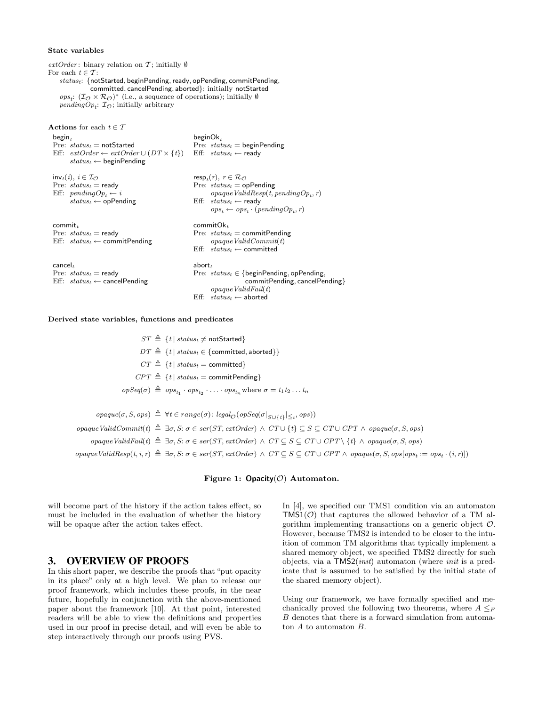#### State variables

 $extOrder:$  binary relation on T; initially Ø For each  $t \in \mathcal{T}$ :  $status_t$ : {notStarted, beginPending, ready, opPending, commitPending. committed, cancelPending, aborted}; initially notStarted ops<sub>t</sub>:  $(\mathcal{I}_{\mathcal{O}} \times \mathcal{R}_{\mathcal{O}})^*$  (i.e., a sequence of operations); initially  $\emptyset$ pending  $Op_t$ :  $\mathcal{I}_{\mathcal{O}}$ ; initially arbitrary

| <b>Actions</b> for each $t \in \mathcal{T}$                                                                                                                                       |                                                                                                                                                                                                                                |
|-----------------------------------------------------------------------------------------------------------------------------------------------------------------------------------|--------------------------------------------------------------------------------------------------------------------------------------------------------------------------------------------------------------------------------|
| $begin{bmatrix} 1 & 1 \\ 1 & 1 \end{bmatrix}$<br>Pre: $status_t$ = notStarted<br>Eff: $extOrder \leftarrow extOrder \cup (DT \times \{t\})$<br>$status_t \leftarrow$ beginPending | $begin{bmatrix} O & E \\ E & E \end{bmatrix}$<br>Pre: $status_t =$ beginPending<br>Eff: $status_t \leftarrow \text{ready}$                                                                                                     |
| $inv_t(i), i \in \mathcal{I}_{\mathcal{O}}$<br>Pre: $status_t$ = ready<br>Eff: $pendingOp_t \leftarrow i$<br>$status_t \leftarrow$ opPending                                      | resp <sub>t</sub> $(r), r \in \mathcal{R}_{\mathcal{O}}$<br>Pre: $status_t =$ opPending<br>$opaque ValidResp(t, pendingOp_t, r)$<br>Eff: $status_t \leftarrow \text{ready}$<br>$ops_t \leftarrow ops_t \cdot (pendingOp_t, r)$ |
| commit $_t$<br>Pre: $status_t$ = ready<br>Eff: $status_t \leftarrow$ commit Pending                                                                                               | $\mathsf{commitOk}_t$<br>Pre: $status_t =$ commitPending<br>opaque ValidCommit(t)<br>Eff: $status_t \leftarrow$ committed                                                                                                      |
| $c$ ancel $_t$<br>Pre: $status_t$ = ready<br>Eff: $status_t \leftarrow \text{cancelPending}$                                                                                      | abort <sub>t</sub><br>Pre: $status_t \in \{begin}$ PeginPending, opPending,<br>commitPending, cancelPending}<br>opaque ValidFall(t)<br>$\mathrm{Eff:} \ \ state_{status} \leftarrow \mathsf{aborted}$                          |

#### Derived state variables, functions and predicates

 $ST \triangleq \{t | status_t \neq \text{notStrategy}\}$  $DT \triangleq \{t | status_t \in \{continued, aborted\}\}\$  $CT \triangleq \{t | status_t =$ committed}  $CPT \triangleq \{t | status_t = \text{commitPending}\}$  $opSeq(\sigma) \triangleq ops_{t_1} \cdot ops_{t_2} \cdot \ldots \cdot ops_{t_n}$  where  $\sigma = t_1 t_2 \ldots t_n$  $\text{opaque}(\sigma, S, \text{ops}) \triangleq \forall t \in range(\sigma) : \text{legal}_{\mathcal{O}}(\text{opSeq}(\sigma |_{S \cup \{t\}} |_{\leq t}, \text{ops}))$ opaque ValidCommit(t)  $\triangleq \exists \sigma, S: \sigma \in \text{ser}(ST, \text{extOrder}) \wedge CT \cup \{t\} \subseteq S \subseteq CT \cup \text{CPT} \wedge \text{opaque}(\sigma, S, \text{ops})$ opaqueValidFail(t)  $\triangleq \exists \sigma, S: \sigma \in \text{ser}(ST, \text{extOrder}) \land CT \subseteq S \subseteq CT \cup \text{CPT} \setminus \{t\} \land \text{opaque}(\sigma, S, \text{ops})$ 

 $\textit{open} \textit{Valid} \textit{Resp}(t, i, r) \triangleq \exists \sigma, S: \sigma \in \textit{ser}(ST, \textit{extOrder}) \land CT \subseteq S \subseteq CT \cup \textit{CPT} \land \textit{open}(\sigma, S, \textit{ops}[\textit{ops}_t := \textit{ops}_t \cdot (i, r)])$ 

#### Figure 1:  $Opacity(\mathcal{O})$  Automaton.

will become part of the history if the action takes effect, so must be included in the evaluation of whether the history will be opaque after the action takes effect.

## 3. OVERVIEW OF PROOFS

In this short paper, we describe the proofs that "put opacity in its place" only at a high level. We plan to release our proof framework, which includes these proofs, in the near future, hopefully in conjunction with the above-mentioned paper about the framework [10]. At that point, interested readers will be able to view the definitions and properties used in our proof in precise detail, and will even be able to step interactively through our proofs using PVS.

In [4], we specified our TMS1 condition via an automaton  $TMS1(\mathcal{O})$  that captures the allowed behavior of a TM algorithm implementing transactions on a generic object  $\mathcal{O}$ . However, because TMS2 is intended to be closer to the intuition of common TM algorithms that typically implement a shared memory object, we specified TMS2 directly for such objects, via a  $TMS2(nit)$  automaton (where *init* is a predicate that is assumed to be satisfied by the initial state of the shared memory object).

Using our framework, we have formally specified and mechanically proved the following two theorems, where  $A \leq_F$ B denotes that there is a forward simulation from automaton A to automaton B.